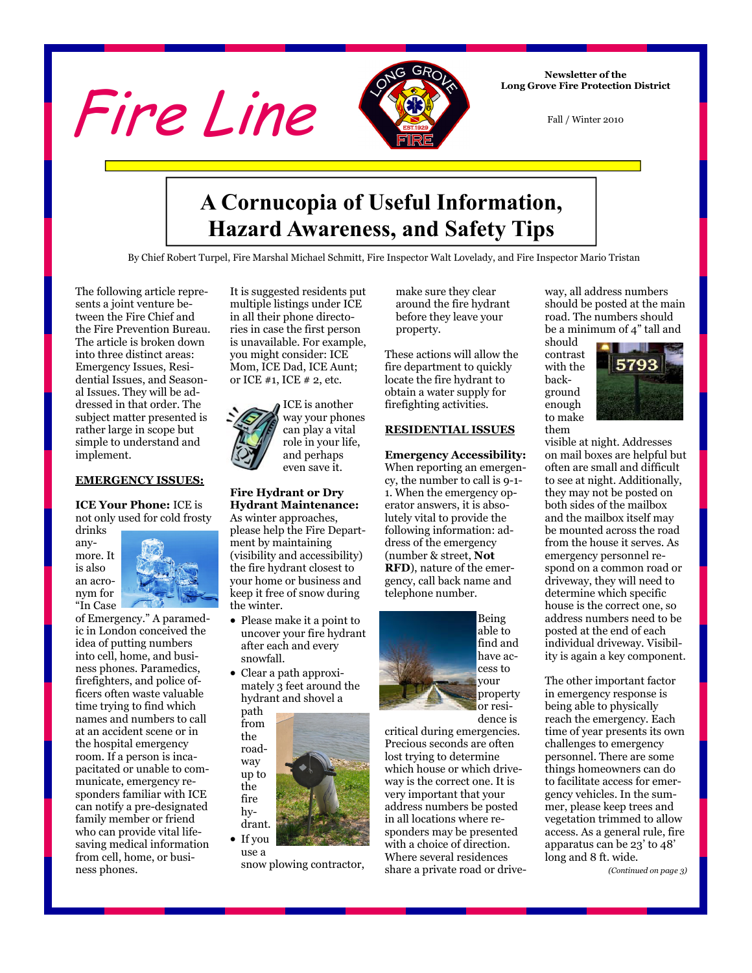



**Newsletter of the Long Grove Fire Protection District** 

Fall / Winter 2010

## **A Cornucopia of Useful Information, Hazard Awareness, and Safety Tips**

By Chief Robert Turpel, Fire Marshal Michael Schmitt, Fire Inspector Walt Lovelady, and Fire Inspector Mario Tristan

The following article represents a joint venture between the Fire Chief and the Fire Prevention Bureau. The article is broken down into three distinct areas: Emergency Issues, Residential Issues, and Seasonal Issues. They will be addressed in that order. The subject matter presented is rather large in scope but simple to understand and implement.

#### **EMERGENCY ISSUES:**

**ICE Your Phone:** ICE is not only used for cold frosty

drinks anymore. It is also an acronym for "In Case



of Emergency." A paramedic in London conceived the idea of putting numbers into cell, home, and business phones. Paramedics, firefighters, and police officers often waste valuable time trying to find which names and numbers to call at an accident scene or in the hospital emergency room. If a person is incapacitated or unable to communicate, emergency responders familiar with ICE can notify a pre-designated family member or friend who can provide vital lifesaving medical information from cell, home, or business phones.

It is suggested residents put multiple listings under ICE in all their phone directories in case the first person is unavailable. For example, you might consider: ICE Mom, ICE Dad, ICE Aunt; or ICE #1, ICE # 2, etc.



#### **Fire Hydrant or Dry Hydrant Maintenance:**

As winter approaches, please help the Fire Department by maintaining (visibility and accessibility) the fire hydrant closest to your home or business and keep it free of snow during the winter.

- Please make it a point to uncover your fire hydrant after each and every snowfall.
- Clear a path approximately 3 feet around the hydrant and shovel a

path from the roadway up to the fire hydrant.

• If you use a

snow plowing contractor,

make sure they clear around the fire hydrant before they leave your property.

These actions will allow the fire department to quickly locate the fire hydrant to obtain a water supply for firefighting activities.

#### **RESIDENTIAL ISSUES**

#### **Emergency Accessibility:**

When reporting an emergency, the number to call is 9-1- 1. When the emergency operator answers, it is absolutely vital to provide the following information: address of the emergency (number & street, **Not RFD**), nature of the emergency, call back name and telephone number.



Being able to find and have access to your property or residence is

critical during emergencies. Precious seconds are often lost trying to determine which house or which driveway is the correct one. It is very important that your address numbers be posted in all locations where responders may be presented with a choice of direction. Where several residences share a private road or drive-

way, all address numbers should be posted at the main road. The numbers should be a minimum of 4" tall and

should contrast with the background enough to make them



visible at night. Addresses on mail boxes are helpful but often are small and difficult to see at night. Additionally, they may not be posted on both sides of the mailbox and the mailbox itself may be mounted across the road from the house it serves. As emergency personnel respond on a common road or driveway, they will need to determine which specific house is the correct one, so address numbers need to be posted at the end of each individual driveway. Visibility is again a key component.

The other important factor in emergency response is being able to physically reach the emergency. Each time of year presents its own challenges to emergency personnel. There are some things homeowners can do to facilitate access for emergency vehicles. In the summer, please keep trees and vegetation trimmed to allow access. As a general rule, fire apparatus can be 23' to 48' long and 8 ft. wide.

*(Continued on page 3)*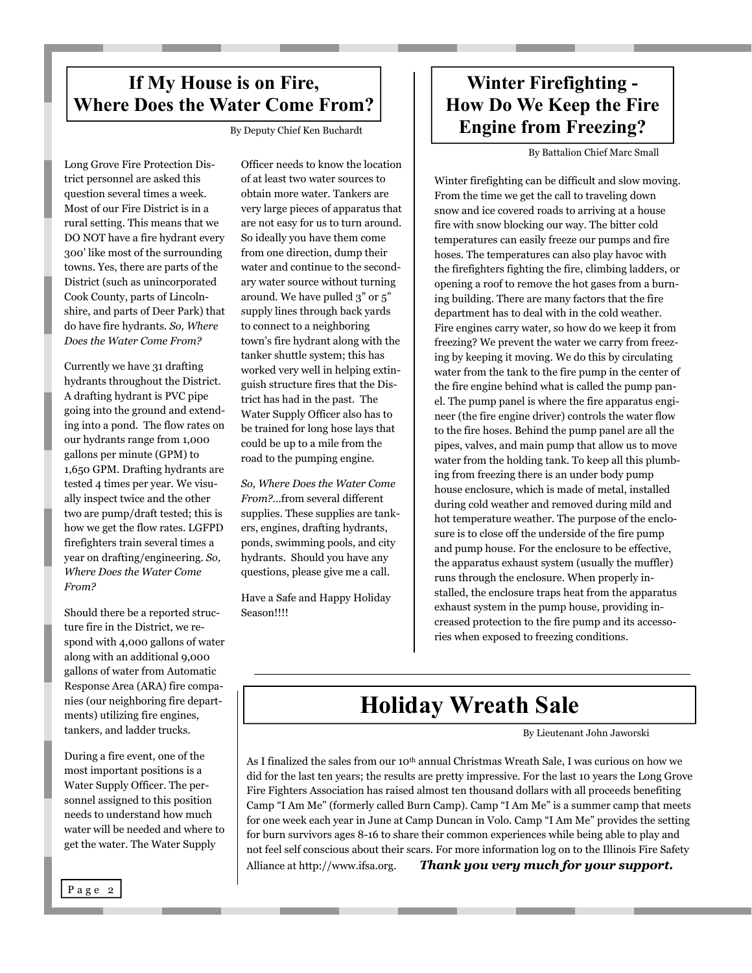### **If My House is on Fire, Where Does the Water Come From?**

By Deputy Chief Ken Buchardt

Long Grove Fire Protection District personnel are asked this question several times a week. Most of our Fire District is in a rural setting. This means that we DO NOT have a fire hydrant every 300' like most of the surrounding towns. Yes, there are parts of the District (such as unincorporated Cook County, parts of Lincolnshire, and parts of Deer Park) that do have fire hydrants. *So, Where Does the Water Come From?*

Currently we have 31 drafting hydrants throughout the District. A drafting hydrant is PVC pipe going into the ground and extending into a pond. The flow rates on our hydrants range from 1,000 gallons per minute (GPM) to 1,650 GPM. Drafting hydrants are tested 4 times per year. We visually inspect twice and the other two are pump/draft tested; this is how we get the flow rates. LGFPD firefighters train several times a year on drafting/engineering. *So, Where Does the Water Come From?*

Should there be a reported structure fire in the District, we respond with 4,000 gallons of water along with an additional 9,000 gallons of water from Automatic Response Area (ARA) fire companies (our neighboring fire departments) utilizing fire engines, tankers, and ladder trucks.

During a fire event, one of the most important positions is a Water Supply Officer. The personnel assigned to this position needs to understand how much water will be needed and where to get the water. The Water Supply

Officer needs to know the location of at least two water sources to obtain more water. Tankers are very large pieces of apparatus that are not easy for us to turn around. So ideally you have them come from one direction, dump their water and continue to the secondary water source without turning around. We have pulled 3" or 5" supply lines through back yards to connect to a neighboring town's fire hydrant along with the tanker shuttle system; this has worked very well in helping extinguish structure fires that the District has had in the past. The Water Supply Officer also has to be trained for long hose lays that could be up to a mile from the road to the pumping engine.

*So, Where Does the Water Come From?*…from several different supplies. These supplies are tankers, engines, drafting hydrants, ponds, swimming pools, and city hydrants. Should you have any questions, please give me a call.

Have a Safe and Happy Holiday Season!!!!

### **Winter Firefighting - How Do We Keep the Fire Engine from Freezing?**

By Battalion Chief Marc Small

Winter firefighting can be difficult and slow moving. From the time we get the call to traveling down snow and ice covered roads to arriving at a house fire with snow blocking our way. The bitter cold temperatures can easily freeze our pumps and fire hoses. The temperatures can also play havoc with the firefighters fighting the fire, climbing ladders, or opening a roof to remove the hot gases from a burning building. There are many factors that the fire department has to deal with in the cold weather. Fire engines carry water, so how do we keep it from freezing? We prevent the water we carry from freezing by keeping it moving. We do this by circulating water from the tank to the fire pump in the center of the fire engine behind what is called the pump panel. The pump panel is where the fire apparatus engineer (the fire engine driver) controls the water flow to the fire hoses. Behind the pump panel are all the pipes, valves, and main pump that allow us to move water from the holding tank. To keep all this plumbing from freezing there is an under body pump house enclosure, which is made of metal, installed during cold weather and removed during mild and hot temperature weather. The purpose of the enclosure is to close off the underside of the fire pump and pump house. For the enclosure to be effective, the apparatus exhaust system (usually the muffler) runs through the enclosure. When properly installed, the enclosure traps heat from the apparatus exhaust system in the pump house, providing increased protection to the fire pump and its accessories when exposed to freezing conditions.

# **Holiday Wreath Sale**

By Lieutenant John Jaworski

As I finalized the sales from our 10th annual Christmas Wreath Sale, I was curious on how we did for the last ten years; the results are pretty impressive. For the last 10 years the Long Grove Fire Fighters Association has raised almost ten thousand dollars with all proceeds benefiting Camp "I Am Me" (formerly called Burn Camp). Camp "I Am Me" is a summer camp that meets for one week each year in June at Camp Duncan in Volo. Camp "I Am Me" provides the setting for burn survivors ages 8-16 to share their common experiences while being able to play and not feel self conscious about their scars. For more information log on to the Illinois Fire Safety Alliance at http://www.ifsa.org. *Thank you very much for your support.*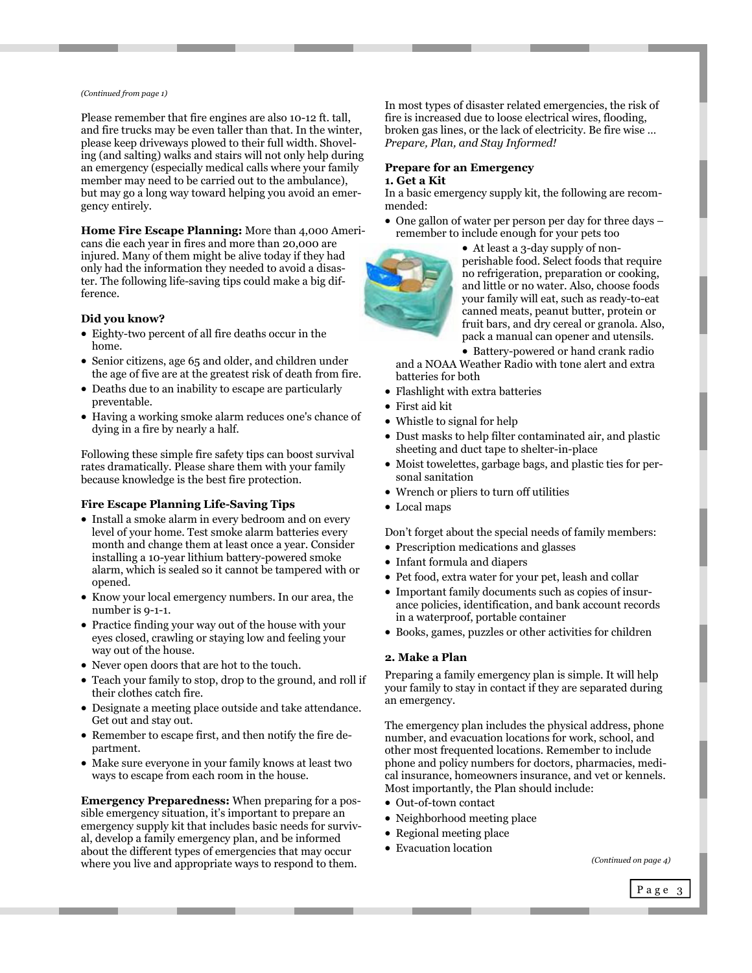#### *(Continued from page 1)*

Please remember that fire engines are also 10-12 ft. tall, and fire trucks may be even taller than that. In the winter, please keep driveways plowed to their full width. Shoveling (and salting) walks and stairs will not only help during an emergency (especially medical calls where your family member may need to be carried out to the ambulance), but may go a long way toward helping you avoid an emergency entirely.

**Home Fire Escape Planning:** More than 4,000 Americans die each year in fires and more than 20,000 are injured. Many of them might be alive today if they had only had the information they needed to avoid a disaster. The following life-saving tips could make a big difference.

#### **Did you know?**

- Eighty-two percent of all fire deaths occur in the home.
- Senior citizens, age 65 and older, and children under the age of five are at the greatest risk of death from fire.
- Deaths due to an inability to escape are particularly preventable.
- Having a working smoke alarm reduces one's chance of dying in a fire by nearly a half.

Following these simple fire safety tips can boost survival rates dramatically. Please share them with your family because knowledge is the best fire protection.

#### **Fire Escape Planning Life-Saving Tips**

- Install a smoke alarm in every bedroom and on every level of your home. Test smoke alarm batteries every month and change them at least once a year. Consider installing a 10-year lithium battery-powered smoke alarm, which is sealed so it cannot be tampered with or opened.
- Know your local emergency numbers. In our area, the number is 9-1-1.
- Practice finding your way out of the house with your eyes closed, crawling or staying low and feeling your way out of the house.
- Never open doors that are hot to the touch.
- Teach your family to stop, drop to the ground, and roll if their clothes catch fire.
- Designate a meeting place outside and take attendance. Get out and stay out.
- Remember to escape first, and then notify the fire department.
- Make sure everyone in your family knows at least two ways to escape from each room in the house.

**Emergency Preparedness:** When preparing for a possible emergency situation, it's important to prepare an emergency supply kit that includes basic needs for survival, develop a family emergency plan, and be informed about the different types of emergencies that may occur where you live and appropriate ways to respond to them.

In most types of disaster related emergencies, the risk of fire is increased due to loose electrical wires, flooding, broken gas lines, or the lack of electricity. Be fire wise … *Prepare, Plan, and Stay Informed!* 

#### **Prepare for an Emergency 1. Get a Kit**

In a basic emergency supply kit, the following are recommended:

• One gallon of water per person per day for three days – remember to include enough for your pets too



 At least a 3-day supply of nonperishable food. Select foods that require no refrigeration, preparation or cooking, and little or no water. Also, choose foods your family will eat, such as ready-to-eat canned meats, peanut butter, protein or fruit bars, and dry cereal or granola. Also, pack a manual can opener and utensils.

• Battery-powered or hand crank radio and a NOAA Weather Radio with tone alert and extra batteries for both

- Flashlight with extra batteries
- First aid kit
- Whistle to signal for help
- Dust masks to help filter contaminated air, and plastic sheeting and duct tape to shelter-in-place
- Moist towelettes, garbage bags, and plastic ties for personal sanitation
- Wrench or pliers to turn off utilities
- Local maps

Don't forget about the special needs of family members:

- Prescription medications and glasses
- Infant formula and diapers
- Pet food, extra water for your pet, leash and collar
- Important family documents such as copies of insurance policies, identification, and bank account records in a waterproof, portable container
- Books, games, puzzles or other activities for children

#### **2. Make a Plan**

Preparing a family emergency plan is simple. It will help your family to stay in contact if they are separated during an emergency.

The emergency plan includes the physical address, phone number, and evacuation locations for work, school, and other most frequented locations. Remember to include phone and policy numbers for doctors, pharmacies, medical insurance, homeowners insurance, and vet or kennels. Most importantly, the Plan should include:

- Out-of-town contact
- Neighborhood meeting place
- Regional meeting place
- Evacuation location

*(Continued on page 4)* 

Page 3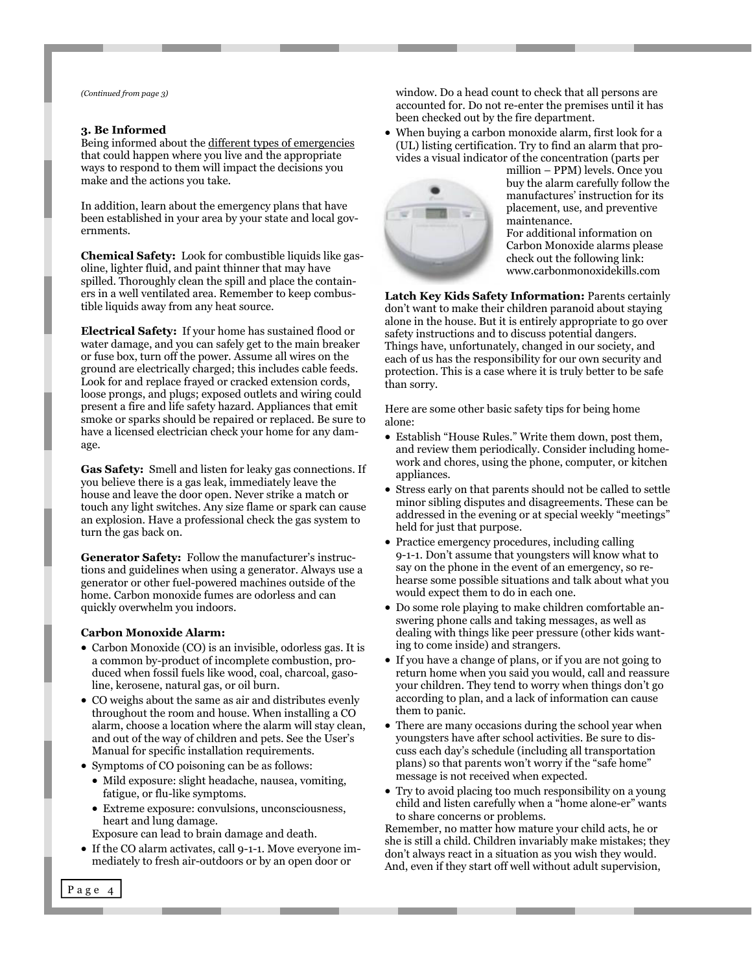#### **3. Be Informed**

Being informed about the different types of emergencies that could happen where you live and the appropriate ways to respond to them will impact the decisions you make and the actions you take.

In addition, learn about the emergency plans that have been established in your area by your state and local governments.

**Chemical Safety:** Look for combustible liquids like gasoline, lighter fluid, and paint thinner that may have spilled. Thoroughly clean the spill and place the containers in a well ventilated area. Remember to keep combustible liquids away from any heat source.

**Electrical Safety:** If your home has sustained flood or water damage, and you can safely get to the main breaker or fuse box, turn off the power. Assume all wires on the ground are electrically charged; this includes cable feeds. Look for and replace frayed or cracked extension cords, loose prongs, and plugs; exposed outlets and wiring could present a fire and life safety hazard. Appliances that emit smoke or sparks should be repaired or replaced. Be sure to have a licensed electrician check your home for any damage.

**Gas Safety:** Smell and listen for leaky gas connections. If you believe there is a gas leak, immediately leave the house and leave the door open. Never strike a match or touch any light switches. Any size flame or spark can cause an explosion. Have a professional check the gas system to turn the gas back on.

**Generator Safety:** Follow the manufacturer's instructions and guidelines when using a generator. Always use a generator or other fuel-powered machines outside of the home. Carbon monoxide fumes are odorless and can quickly overwhelm you indoors.

#### **Carbon Monoxide Alarm:**

- Carbon Monoxide (CO) is an invisible, odorless gas. It is a common by-product of incomplete combustion, produced when fossil fuels like wood, coal, charcoal, gasoline, kerosene, natural gas, or oil burn.
- CO weighs about the same as air and distributes evenly throughout the room and house. When installing a CO alarm, choose a location where the alarm will stay clean, and out of the way of children and pets. See the User's Manual for specific installation requirements.
- Symptoms of CO poisoning can be as follows:
	- Mild exposure: slight headache, nausea, vomiting, fatigue, or flu-like symptoms.
	- Extreme exposure: convulsions, unconsciousness, heart and lung damage.
	- Exposure can lead to brain damage and death.
- If the CO alarm activates, call 9-1-1. Move everyone immediately to fresh air-outdoors or by an open door or

*(Continued from page 3)* window. Do a head count to check that all persons are accounted for. Do not re-enter the premises until it has been checked out by the fire department.

> When buying a carbon monoxide alarm, first look for a (UL) listing certification. Try to find an alarm that provides a visual indicator of the concentration (parts per



million – PPM) levels. Once you buy the alarm carefully follow the manufactures' instruction for its placement, use, and preventive maintenance.

For additional information on Carbon Monoxide alarms please check out the following link: www.carbonmonoxidekills.com

**Latch Key Kids Safety Information:** Parents certainly don't want to make their children paranoid about staying alone in the house. But it is entirely appropriate to go over safety instructions and to discuss potential dangers. Things have, unfortunately, changed in our society, and each of us has the responsibility for our own security and protection. This is a case where it is truly better to be safe than sorry.

Here are some other basic safety tips for being home alone:

- Establish "House Rules." Write them down, post them, and review them periodically. Consider including homework and chores, using the phone, computer, or kitchen appliances.
- Stress early on that parents should not be called to settle minor sibling disputes and disagreements. These can be addressed in the evening or at special weekly "meetings" held for just that purpose.
- Practice emergency procedures, including calling 9-1-1. Don't assume that youngsters will know what to say on the phone in the event of an emergency, so rehearse some possible situations and talk about what you would expect them to do in each one.
- Do some role playing to make children comfortable answering phone calls and taking messages, as well as dealing with things like peer pressure (other kids wanting to come inside) and strangers.
- If you have a change of plans, or if you are not going to return home when you said you would, call and reassure your children. They tend to worry when things don't go according to plan, and a lack of information can cause them to panic.
- There are many occasions during the school year when youngsters have after school activities. Be sure to discuss each day's schedule (including all transportation plans) so that parents won't worry if the "safe home" message is not received when expected.
- Try to avoid placing too much responsibility on a young child and listen carefully when a "home alone-er" wants to share concerns or problems.

Remember, no matter how mature your child acts, he or she is still a child. Children invariably make mistakes; they don't always react in a situation as you wish they would. And, even if they start off well without adult supervision,

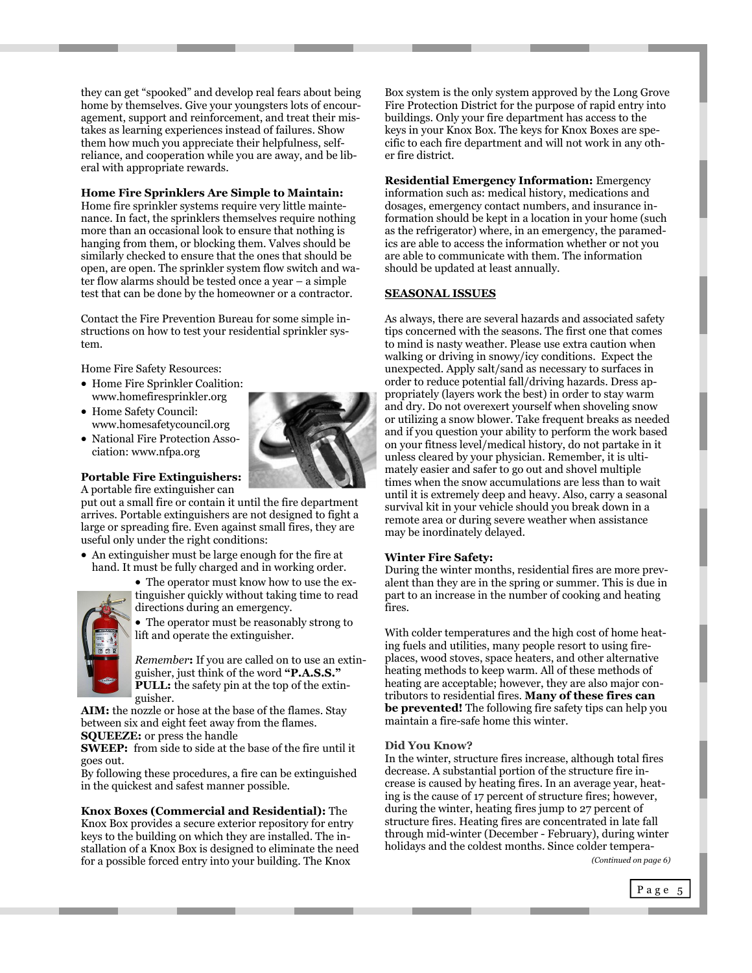they can get "spooked" and develop real fears about being home by themselves. Give your youngsters lots of encouragement, support and reinforcement, and treat their mistakes as learning experiences instead of failures. Show them how much you appreciate their helpfulness, selfreliance, and cooperation while you are away, and be liberal with appropriate rewards.

#### **Home Fire Sprinklers Are Simple to Maintain:**

Home fire sprinkler systems require very little maintenance. In fact, the sprinklers themselves require nothing more than an occasional look to ensure that nothing is hanging from them, or blocking them. Valves should be similarly checked to ensure that the ones that should be open, are open. The sprinkler system flow switch and water flow alarms should be tested once a year – a simple test that can be done by the homeowner or a contractor.

Contact the Fire Prevention Bureau for some simple instructions on how to test your residential sprinkler system.

Home Fire Safety Resources:

- Home Fire Sprinkler Coalition: www.homefiresprinkler.org
- Home Safety Council: www.homesafetycouncil.org
- National Fire Protection Association: www.nfpa.org

#### **Portable Fire Extinguishers:**  A portable fire extinguisher can

put out a small fire or contain it until the fire department arrives. Portable extinguishers are not designed to fight a large or spreading fire. Even against small fires, they are useful only under the right conditions:

 An extinguisher must be large enough for the fire at hand. It must be fully charged and in working order.



 The operator must know how to use the extinguisher quickly without taking time to read directions during an emergency.

 The operator must be reasonably strong to lift and operate the extinguisher.

*Remember***:** If you are called on to use an extinguisher, just think of the word **"P.A.S.S." PULL:** the safety pin at the top of the extinguisher.

**AIM:** the nozzle or hose at the base of the flames. Stay between six and eight feet away from the flames. **SQUEEZE:** or press the handle

**SWEEP:** from side to side at the base of the fire until it goes out.

By following these procedures, a fire can be extinguished in the quickest and safest manner possible.

#### **Knox Boxes (Commercial and Residential):** The Knox Box provides a secure exterior repository for entry keys to the building on which they are installed. The installation of a Knox Box is designed to eliminate the need for a possible forced entry into your building. The Knox

Box system is the only system approved by the Long Grove Fire Protection District for the purpose of rapid entry into buildings. Only your fire department has access to the keys in your Knox Box. The keys for Knox Boxes are specific to each fire department and will not work in any other fire district.

**Residential Emergency Information:** Emergency information such as: medical history, medications and dosages, emergency contact numbers, and insurance information should be kept in a location in your home (such as the refrigerator) where, in an emergency, the paramedics are able to access the information whether or not you are able to communicate with them. The information should be updated at least annually.

#### **SEASONAL ISSUES**

As always, there are several hazards and associated safety tips concerned with the seasons. The first one that comes to mind is nasty weather. Please use extra caution when walking or driving in snowy/icy conditions. Expect the unexpected. Apply salt/sand as necessary to surfaces in order to reduce potential fall/driving hazards. Dress appropriately (layers work the best) in order to stay warm and dry. Do not overexert yourself when shoveling snow or utilizing a snow blower. Take frequent breaks as needed and if you question your ability to perform the work based on your fitness level/medical history, do not partake in it unless cleared by your physician. Remember, it is ultimately easier and safer to go out and shovel multiple times when the snow accumulations are less than to wait until it is extremely deep and heavy. Also, carry a seasonal survival kit in your vehicle should you break down in a remote area or during severe weather when assistance may be inordinately delayed.

#### **Winter Fire Safety:**

During the winter months, residential fires are more prevalent than they are in the spring or summer. This is due in part to an increase in the number of cooking and heating fires.

With colder temperatures and the high cost of home heating fuels and utilities, many people resort to using fireplaces, wood stoves, space heaters, and other alternative heating methods to keep warm. All of these methods of heating are acceptable; however, they are also major contributors to residential fires. **Many of these fires can be prevented!** The following fire safety tips can help you maintain a fire-safe home this winter.

#### **Did You Know?**

In the winter, structure fires increase, although total fires decrease. A substantial portion of the structure fire increase is caused by heating fires. In an average year, heating is the cause of 17 percent of structure fires; however, during the winter, heating fires jump to 27 percent of structure fires. Heating fires are concentrated in late fall through mid-winter (December - February), during winter holidays and the coldest months. Since colder tempera-

*(Continued on page 6)* 

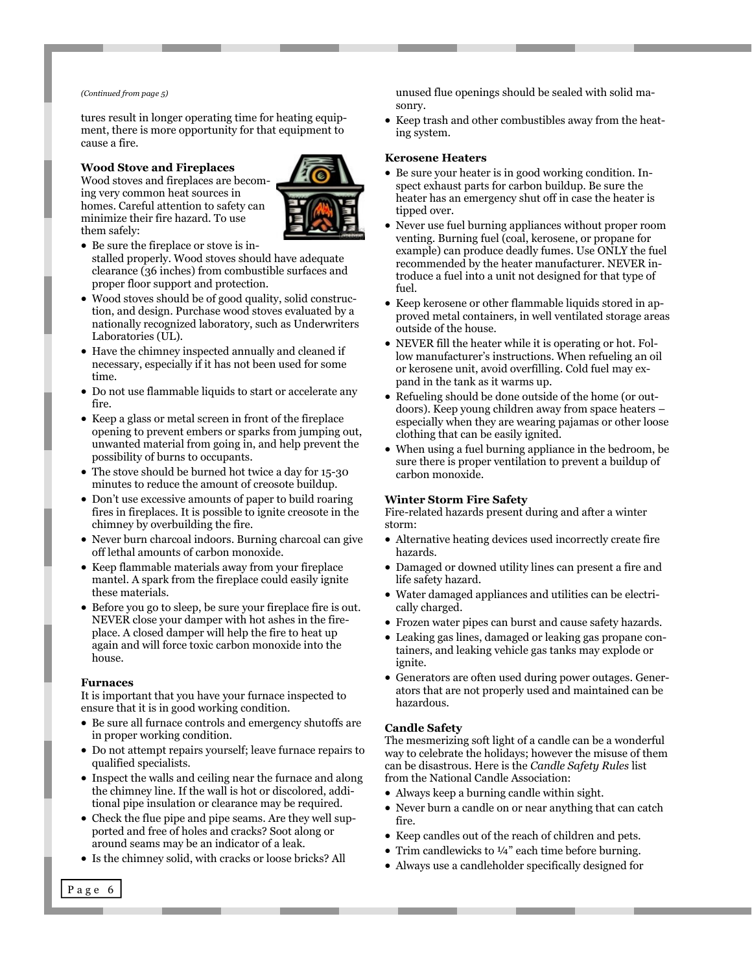tures result in longer operating time for heating equipment, there is more opportunity for that equipment to cause a fire.

#### **Wood Stove and Fireplaces**

Wood stoves and fireplaces are becoming very common heat sources in homes. Careful attention to safety can minimize their fire hazard. To use them safely:



- Be sure the fireplace or stove is installed properly. Wood stoves should have adequate clearance (36 inches) from combustible surfaces and proper floor support and protection.
- Wood stoves should be of good quality, solid construction, and design. Purchase wood stoves evaluated by a nationally recognized laboratory, such as Underwriters Laboratories (UL).
- Have the chimney inspected annually and cleaned if necessary, especially if it has not been used for some time.
- Do not use flammable liquids to start or accelerate any fire.
- Keep a glass or metal screen in front of the fireplace opening to prevent embers or sparks from jumping out, unwanted material from going in, and help prevent the possibility of burns to occupants.
- The stove should be burned hot twice a day for 15-30 minutes to reduce the amount of creosote buildup.
- Don't use excessive amounts of paper to build roaring fires in fireplaces. It is possible to ignite creosote in the chimney by overbuilding the fire.
- Never burn charcoal indoors. Burning charcoal can give off lethal amounts of carbon monoxide.
- Keep flammable materials away from your fireplace mantel. A spark from the fireplace could easily ignite these materials.
- Before you go to sleep, be sure your fireplace fire is out. NEVER close your damper with hot ashes in the fireplace. A closed damper will help the fire to heat up again and will force toxic carbon monoxide into the house.

#### **Furnaces**

It is important that you have your furnace inspected to ensure that it is in good working condition.

- Be sure all furnace controls and emergency shutoffs are in proper working condition.
- Do not attempt repairs yourself; leave furnace repairs to qualified specialists.
- Inspect the walls and ceiling near the furnace and along the chimney line. If the wall is hot or discolored, additional pipe insulation or clearance may be required.
- Check the flue pipe and pipe seams. Are they well supported and free of holes and cracks? Soot along or around seams may be an indicator of a leak.
- Is the chimney solid, with cracks or loose bricks? All

*(Continued from page 5)* unused flue openings should be sealed with solid masonry.

> • Keep trash and other combustibles away from the heating system.

#### **Kerosene Heaters**

- Be sure your heater is in good working condition. Inspect exhaust parts for carbon buildup. Be sure the heater has an emergency shut off in case the heater is tipped over.
- Never use fuel burning appliances without proper room venting. Burning fuel (coal, kerosene, or propane for example) can produce deadly fumes. Use ONLY the fuel recommended by the heater manufacturer. NEVER introduce a fuel into a unit not designed for that type of fuel.
- Keep kerosene or other flammable liquids stored in approved metal containers, in well ventilated storage areas outside of the house.
- NEVER fill the heater while it is operating or hot. Follow manufacturer's instructions. When refueling an oil or kerosene unit, avoid overfilling. Cold fuel may expand in the tank as it warms up.
- Refueling should be done outside of the home (or outdoors). Keep young children away from space heaters – especially when they are wearing pajamas or other loose clothing that can be easily ignited.
- When using a fuel burning appliance in the bedroom, be sure there is proper ventilation to prevent a buildup of carbon monoxide.

#### **Winter Storm Fire Safety**

Fire-related hazards present during and after a winter storm:

- Alternative heating devices used incorrectly create fire hazards.
- Damaged or downed utility lines can present a fire and life safety hazard.
- Water damaged appliances and utilities can be electrically charged.
- Frozen water pipes can burst and cause safety hazards.
- Leaking gas lines, damaged or leaking gas propane containers, and leaking vehicle gas tanks may explode or ignite.
- Generators are often used during power outages. Generators that are not properly used and maintained can be hazardous.

### **Candle Safety**

The mesmerizing soft light of a candle can be a wonderful way to celebrate the holidays; however the misuse of them can be disastrous. Here is the *Candle Safety Rules* list from the National Candle Association:

- Always keep a burning candle within sight.
- Never burn a candle on or near anything that can catch fire.
- Keep candles out of the reach of children and pets.
- Trim candlewicks to 1/4" each time before burning.
- Always use a candleholder specifically designed for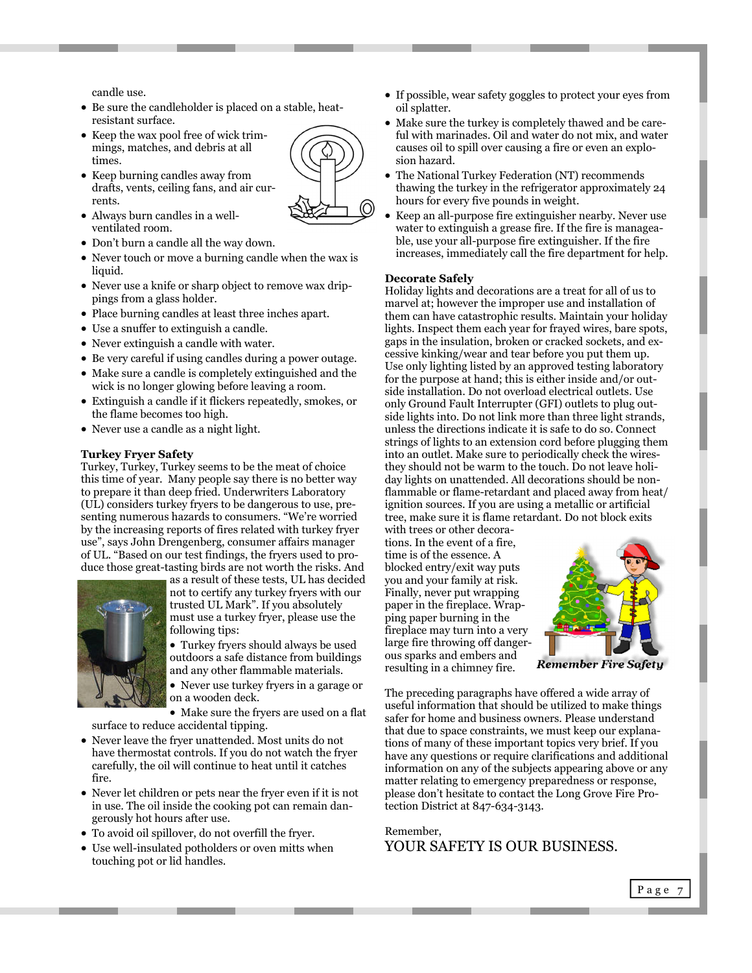candle use.

- Be sure the candleholder is placed on a stable, heatresistant surface.
- Keep the wax pool free of wick trimmings, matches, and debris at all times.
- Keep burning candles away from drafts, vents, ceiling fans, and air currents.
- Always burn candles in a wellventilated room.
- Don't burn a candle all the way down.
- Never touch or move a burning candle when the wax is liquid.
- Never use a knife or sharp object to remove wax drippings from a glass holder.
- Place burning candles at least three inches apart.
- Use a snuffer to extinguish a candle.
- Never extinguish a candle with water.
- Be very careful if using candles during a power outage.
- Make sure a candle is completely extinguished and the wick is no longer glowing before leaving a room.
- Extinguish a candle if it flickers repeatedly, smokes, or the flame becomes too high.
- Never use a candle as a night light.

#### **Turkey Fryer Safety**

Turkey, Turkey, Turkey seems to be the meat of choice this time of year. Many people say there is no better way to prepare it than deep fried. Underwriters Laboratory (UL) considers turkey fryers to be dangerous to use, presenting numerous hazards to consumers. "We're worried by the increasing reports of fires related with turkey fryer use", says John Drengenberg, consumer affairs manager of UL. "Based on our test findings, the fryers used to produce those great-tasting birds are not worth the risks. And



as a result of these tests, UL has decided not to certify any turkey fryers with our trusted UL Mark". If you absolutely must use a turkey fryer, please use the following tips:

• Turkey fryers should always be used outdoors a safe distance from buildings and any other flammable materials.

 Never use turkey fryers in a garage or on a wooden deck.

 Make sure the fryers are used on a flat surface to reduce accidental tipping.

- Never leave the fryer unattended. Most units do not have thermostat controls. If you do not watch the fryer carefully, the oil will continue to heat until it catches fire.
- Never let children or pets near the fryer even if it is not in use. The oil inside the cooking pot can remain dangerously hot hours after use.
- To avoid oil spillover, do not overfill the fryer.
- Use well-insulated potholders or oven mitts when touching pot or lid handles.
- If possible, wear safety goggles to protect your eyes from oil splatter.
- Make sure the turkey is completely thawed and be careful with marinades. Oil and water do not mix, and water causes oil to spill over causing a fire or even an explosion hazard.
- The National Turkey Federation (NT) recommends thawing the turkey in the refrigerator approximately 24 hours for every five pounds in weight.
- Keep an all-purpose fire extinguisher nearby. Never use water to extinguish a grease fire. If the fire is manageable, use your all-purpose fire extinguisher. If the fire increases, immediately call the fire department for help.

#### **Decorate Safely**

Holiday lights and decorations are a treat for all of us to marvel at; however the improper use and installation of them can have catastrophic results. Maintain your holiday lights. Inspect them each year for frayed wires, bare spots, gaps in the insulation, broken or cracked sockets, and excessive kinking/wear and tear before you put them up. Use only lighting listed by an approved testing laboratory for the purpose at hand; this is either inside and/or outside installation. Do not overload electrical outlets. Use only Ground Fault Interrupter (GFI) outlets to plug outside lights into. Do not link more than three light strands, unless the directions indicate it is safe to do so. Connect strings of lights to an extension cord before plugging them into an outlet. Make sure to periodically check the wiresthey should not be warm to the touch. Do not leave holiday lights on unattended. All decorations should be nonflammable or flame-retardant and placed away from heat/ ignition sources. If you are using a metallic or artificial tree, make sure it is flame retardant. Do not block exits

with trees or other decorations. In the event of a fire, time is of the essence. A blocked entry/exit way puts you and your family at risk. Finally, never put wrapping paper in the fireplace. Wrapping paper burning in the fireplace may turn into a very large fire throwing off dangerous sparks and embers and resulting in a chimney fire.



The preceding paragraphs have offered a wide array of useful information that should be utilized to make things safer for home and business owners. Please understand that due to space constraints, we must keep our explanations of many of these important topics very brief. If you have any questions or require clarifications and additional information on any of the subjects appearing above or any matter relating to emergency preparedness or response, please don't hesitate to contact the Long Grove Fire Protection District at 847-634-3143.

### Remember,

YOUR SAFETY IS OUR BUSINESS.